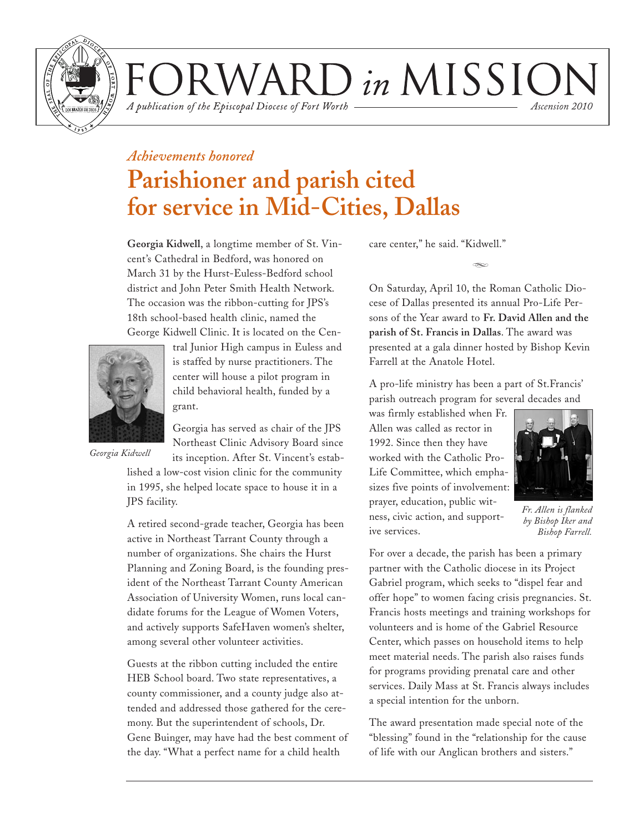

VARD in MISSIOI *Ascension 2010*

A publication of the Episcopal Diocese of Fort Worth

### *Achievements honored* **Parishioner and parish cited**

**for service in Mid-Cities, Dallas**

**Georgia Kidwell**, a longtime member of St. Vincent's Cathedral in Bedford, was honored on March 31 by the Hurst-Euless-Bedford school district and John Peter Smith Health Network. The occasion was the ribbon-cutting for JPS's 18th school-based health clinic, named the George Kidwell Clinic. It is located on the Cen-



tral Junior High campus in Euless and is staffed by nurse practitioners. The center will house a pilot program in child behavioral health, funded by a grant.

*Georgia Kidwell*

Georgia has served as chair of the JPS Northeast Clinic Advisory Board since its inception. After St. Vincent's estab-

lished a low-cost vision clinic for the community in 1995, she helped locate space to house it in a JPS facility.

A retired second-grade teacher, Georgia has been active in Northeast Tarrant County through a number of organizations. She chairs the Hurst Planning and Zoning Board, is the founding president of the Northeast Tarrant County American Association of University Women, runs local candidate forums for the League of Women Voters, and actively supports SafeHaven women's shelter, among several other volunteer activities.

Guests at the ribbon cutting included the entire HEB School board. Two state representatives, a county commissioner, and a county judge also attended and addressed those gathered for the ceremony. But the superintendent of schools, Dr. Gene Buinger, may have had the best comment of the day. "What a perfect name for a child health

care center," he said. "Kidwell."

On Saturday, April 10, the Roman Catholic Diocese of Dallas presented its annual Pro-Life Persons of the Year award to **Fr. David Allen and the parish of St. Francis in Dallas**. The award was presented at a gala dinner hosted by Bishop Kevin Farrell at the Anatole Hotel.

d

A pro-life ministry has been a part of St.Francis' parish outreach program for several decades and

was firmly established when Fr. Allen was called as rector in 1992. Since then they have worked with the Catholic Pro-Life Committee, which emphasizes five points of involvement: prayer, education, public witness, civic action, and supportive services.



*Fr. Allen is flanked by Bishop Iker and Bishop Farrell.*

For over a decade, the parish has been a primary partner with the Catholic diocese in its Project Gabriel program, which seeks to "dispel fear and offer hope" to women facing crisis pregnancies. St. Francis hosts meetings and training workshops for volunteers and is home of the Gabriel Resource Center, which passes on household items to help meet material needs. The parish also raises funds for programs providing prenatal care and other services. Daily Mass at St. Francis always includes a special intention for the unborn.

The award presentation made special note of the "blessing" found in the "relationship for the cause of life with our Anglican brothers and sisters."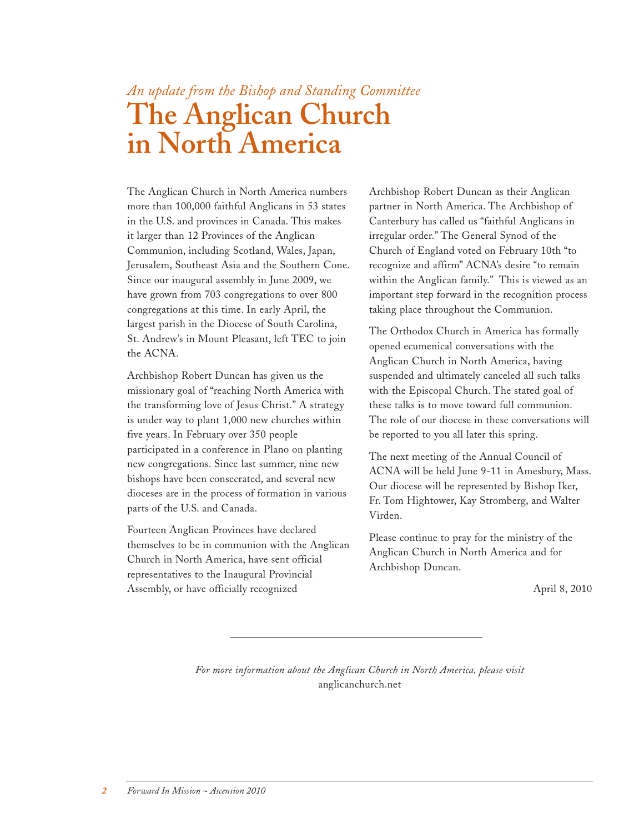# *An update from the Bishop and Standing Committee* **The Anglican Church in North America**

The Anglican Church in North America numbers more than 100,000 faithful Anglicans in 53 states in the U.S. and provinces in Canada. This makes it larger than 12 Provinces of the Anglican Communion, including Scotland, Wales, Japan, Jerusalem, Southeast Asia and the Southern Cone. Since our inaugural assembly in June 2009, we have grown from 703 congregations to over 800 congregations at this time. In early April, the largest parish in the Diocese of South Carolina, St. Andrew's in Mount Pleasant, left TEC to join the ACNA.

Archbishop Robert Duncan has given us the missionary goal of "reaching North America with the transforming love of Jesus Christ." A strategy is under way to plant 1,000 new churches within five years. In February over 350 people participated in a conference in Plano on planting new congregations. Since last summer, nine new bishops have been consecrated, and several new dioceses are in the process of formation in various parts of the U.S. and Canada.

Fourteen Anglican Provinces have declared themselves to be in communion with the Anglican Church in North America, have sent official representatives to the Inaugural Provincial Assembly, or have officially recognized

Archbishop Robert Duncan as their Anglican partner in North America. The Archbishop of Canterbury has called us "faithful Anglicans in irregular order." The General Synod of the Church of England voted on February 10th "to recognize and affirm" ACNA's desire "to remain within the Anglican family." This is viewed as an important step forward in the recognition process taking place throughout the Communion.

The Orthodox Church in America has formally opened ecumenical conversations with the Anglican Church in North America, having suspended and ultimately canceled all such talks with the Episcopal Church. The stated goal of these talks is to move toward full communion. The role of our diocese in these conversations will be reported to you all later this spring.

The next meeting of the Annual Council of ACNA will be held June 9-11 in Amesbury, Mass. Our diocese will be represented by Bishop Iker, Fr. Tom Hightower, Kay Stromberg, and Walter Virden.

Please continue to pray for the ministry of the Anglican Church in North America and for Archbishop Duncan.

April 8, 2010

*For more information about the Anglican Church in North America, please visit*  anglicanchurch.net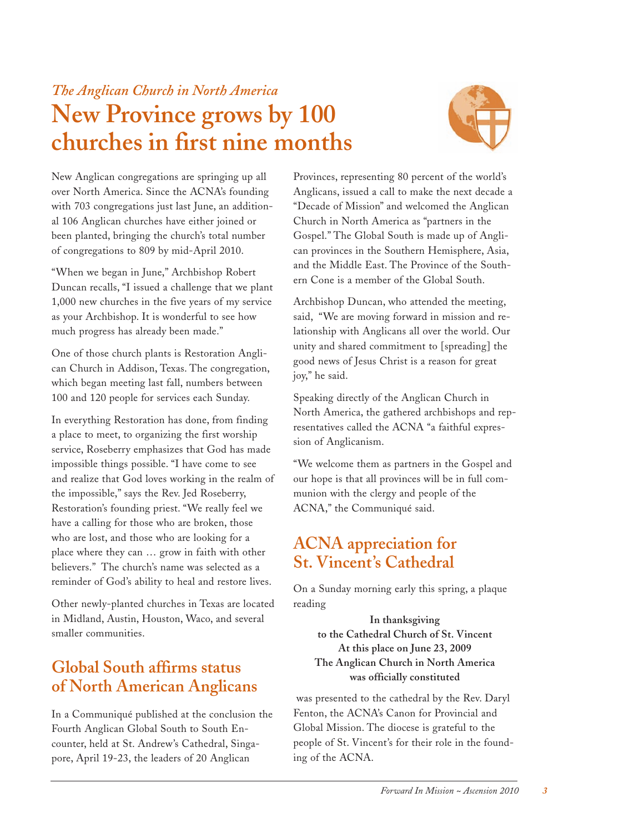### *The Anglican Church in North America* **New Province grows by 100 churches in first nine months**



New Anglican congregations are springing up all over North America. Since the ACNA's founding with 703 congregations just last June, an additional 106 Anglican churches have either joined or been planted, bringing the church's total number of congregations to 809 by mid-April 2010.

"When we began in June," Archbishop Robert Duncan recalls, "I issued a challenge that we plant 1,000 new churches in the five years of my service as your Archbishop. It is wonderful to see how much progress has already been made."

One of those church plants is Restoration Anglican Church in Addison, Texas. The congregation, which began meeting last fall, numbers between 100 and 120 people for services each Sunday.

In everything Restoration has done, from finding a place to meet, to organizing the first worship service, Roseberry emphasizes that God has made impossible things possible. "I have come to see and realize that God loves working in the realm of the impossible," says the Rev. Jed Roseberry, Restoration's founding priest. "We really feel we have a calling for those who are broken, those who are lost, and those who are looking for a place where they can … grow in faith with other believers." The church's name was selected as a reminder of God's ability to heal and restore lives.

Other newly-planted churches in Texas are located in Midland, Austin, Houston, Waco, and several smaller communities.

### **Global South affirms status of North American Anglicans**

In a Communiqué published at the conclusion the Fourth Anglican Global South to South Encounter, held at St. Andrew's Cathedral, Singapore, April 19-23, the leaders of 20 Anglican

Provinces, representing 80 percent of the world's Anglicans, issued a call to make the next decade a "Decade of Mission" and welcomed the Anglican Church in North America as "partners in the Gospel." The Global South is made up of Anglican provinces in the Southern Hemisphere, Asia, and the Middle East. The Province of the Southern Cone is a member of the Global South.

Archbishop Duncan, who attended the meeting, said, "We are moving forward in mission and relationship with Anglicans all over the world. Our unity and shared commitment to [spreading] the good news of Jesus Christ is a reason for great joy," he said.

Speaking directly of the Anglican Church in North America, the gathered archbishops and representatives called the ACNA "a faithful expression of Anglicanism.

"We welcome them as partners in the Gospel and our hope is that all provinces will be in full communion with the clergy and people of the ACNA," the Communiqué said.

### **ACNA appreciation for St. Vincent's Cathedral**

On a Sunday morning early this spring, a plaque reading

**In thanksgiving to the Cathedral Church of St. Vincent At this place on June 23, 2009 The Anglican Church in North America was officially constituted**

was presented to the cathedral by the Rev. Daryl Fenton, the ACNA's Canon for Provincial and Global Mission. The diocese is grateful to the people of St. Vincent's for their role in the founding of the ACNA.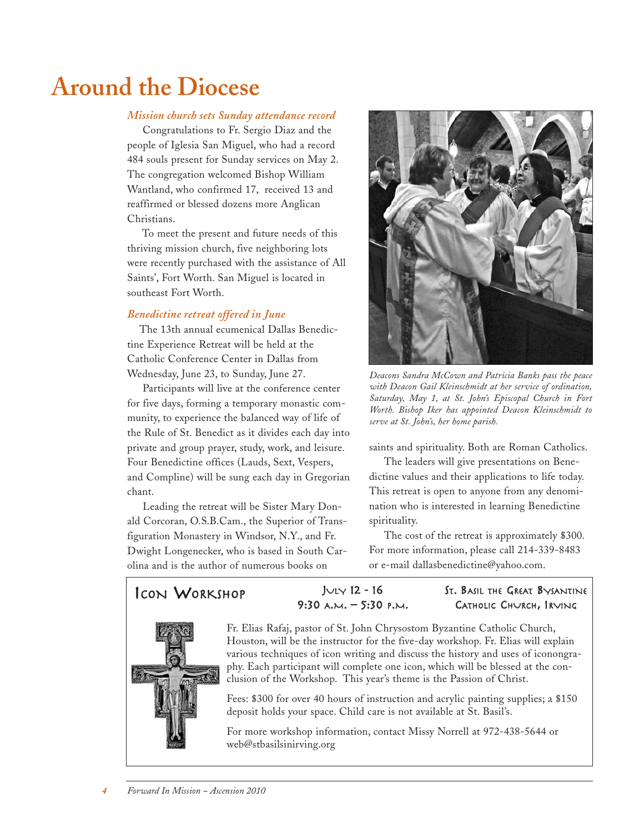# **Around the Diocese**

#### *Mission church sets Sunday attendance record*

Congratulations to Fr. Sergio Diaz and the people of Iglesia San Miguel, who had a record 484 souls present for Sunday services on May 2. The congregation welcomed Bishop William Wantland, who confirmed 17, received 13 and reaffirmed or blessed dozens more Anglican Christians.

To meet the present and future needs of this thriving mission church, five neighboring lots were recently purchased with the assistance of All Saints', Fort Worth. San Miguel is located in southeast Fort Worth.

#### *Benedictine retreat offered in June*

The 13th annual ecumenical Dallas Benedictine Experience Retreat will be held at the Catholic Conference Center in Dallas from Wednesday, June 23, to Sunday, June 27.

Participants will live at the conference center for five days, forming a temporary monastic community, to experience the balanced way of life of the Rule of St. Benedict as it divides each day into private and group prayer, study, work, and leisure. Four Benedictine offices (Lauds, Sext, Vespers, and Compline) will be sung each day in Gregorian chant.

Leading the retreat will be Sister Mary Donald Corcoran, O.S.B.Cam., the Superior of Transfiguration Monastery in Windsor, N.Y., and Fr. Dwight Longenecker, who is based in South Carolina and is the author of numerous books on



*Deacons Sandra McCown and Patricia Banks pass the peace with Deacon Gail Kleinschmidt at her service of ordination, Saturday, May 1, at St. John's Episcopal Church in Fort Worth. Bishop Iker has appointed Deacon Kleinschmidt to serve at St. John's, her home parish.*

saints and spirituality. Both are Roman Catholics.

The leaders will give presentations on Benedictine values and their applications to life today. This retreat is open to anyone from any denomination who is interested in learning Benedictine spirituality.

The cost of the retreat is approximately \$300. For more information, please call 214-339-8483 or e-mail dallasbenedictine@yahoo.com.

ICON WORKSHOP JULY <sup>12</sup> - <sup>16</sup>  $9:30$  A.M. – 5:30 P.M.

#### ST. BASIL THE GREAT BYSANTINE CATHOLIC CHURCH, IRVING



Fr. Elias Rafaj, pastor of St. John Chrysostom Byzantine Catholic Church, Houston, will be the instructor for the five-day workshop. Fr. Elias will explain various techniques of icon writing and discuss the history and uses of iconongraphy. Each participant will complete one icon, which will be blessed at the conclusion of the Workshop. This year's theme is the Passion of Christ.

Fees: \$300 for over 40 hours of instruction and acrylic painting supplies; a \$150 deposit holds your space. Child care is not available at St. Basil's.

For more workshop information, contact Missy Norrell at 972-438-5644 or web@stbasilsinirving.org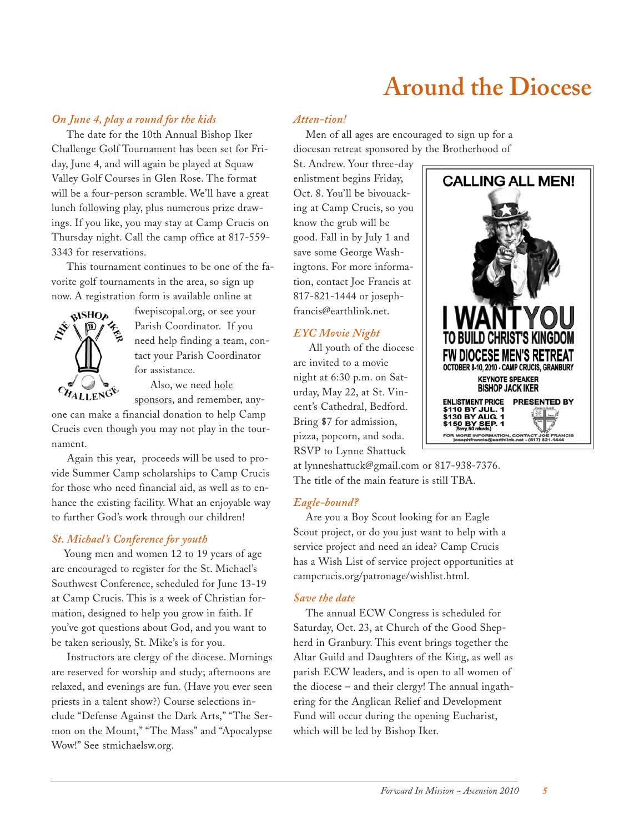# **Around the Diocese**

#### *On June 4, play a round for the kids*

The date for the 10th Annual Bishop Iker Challenge Golf Tournament has been set for Friday, June 4, and will again be played at Squaw Valley Golf Courses in Glen Rose. The format will be a four-person scramble. We'll have a great lunch following play, plus numerous prize drawings. If you like, you may stay at Camp Crucis on Thursday night. Call the camp office at 817-559- 3343 for reservations.

This tournament continues to be one of the favorite golf tournaments in the area, so sign up now. A registration form is available online at



fwepiscopal.org, or see your Parish Coordinator. If you need help finding a team, contact your Parish Coordinator for assistance.

Also, we need hole

sponsors, and remember, anyone can make a financial donation to help Camp Crucis even though you may not play in the tournament.

Again this year, proceeds will be used to provide Summer Camp scholarships to Camp Crucis for those who need financial aid, as well as to enhance the existing facility. What an enjoyable way to further God's work through our children!

#### *St. Michael's Conference for youth*

Young men and women 12 to 19 years of age are encouraged to register for the St. Michael's Southwest Conference, scheduled for June 13-19 at Camp Crucis. This is a week of Christian formation, designed to help you grow in faith. If you've got questions about God, and you want to be taken seriously, St. Mike's is for you.

Instructors are clergy of the diocese. Mornings are reserved for worship and study; afternoons are relaxed, and evenings are fun. (Have you ever seen priests in a talent show?) Course selections include "Defense Against the Dark Arts," "The Sermon on the Mount," "The Mass" and "Apocalypse Wow!" See stmichaelsw.org.

#### *Atten-tion!*

Men of all ages are encouraged to sign up for a diocesan retreat sponsored by the Brotherhood of

St. Andrew. Your three-day enlistment begins Friday, Oct. 8. You'll be bivouacking at Camp Crucis, so you know the grub will be good. Fall in by July 1 and save some George Washingtons. For more information, contact Joe Francis at 817-821-1444 or josephfrancis@earthlink.net.

### *EYC Movie Night*

All youth of the diocese are invited to a movie night at 6:30 p.m. on Saturday, May 22, at St. Vincent's Cathedral, Bedford. Bring \$7 for admission, pizza, popcorn, and soda. RSVP to Lynne Shattuck

at lynneshattuck@gmail.com or 817-938-7376. The title of the main feature is still TBA.

#### *Eagle-bound?*

Are you a Boy Scout looking for an Eagle Scout project, or do you just want to help with a service project and need an idea? Camp Crucis has a Wish List of service project opportunities at campcrucis.org/patronage/wishlist.html.

#### *Save the date*

The annual ECW Congress is scheduled for Saturday, Oct. 23, at Church of the Good Shepherd in Granbury. This event brings together the Altar Guild and Daughters of the King, as well as parish ECW leaders, and is open to all women of the diocese – and their clergy! The annual ingathering for the Anglican Relief and Development Fund will occur during the opening Eucharist, which will be led by Bishop Iker.

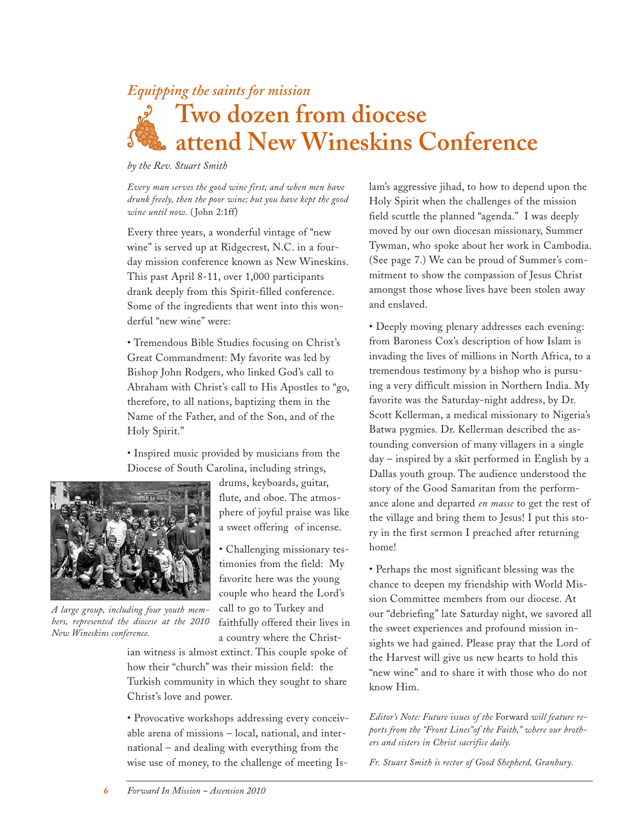### *Equipping the saints for mission*

# **Two dozen from diocese attend New Wineskins Conference**

*by the Rev. Stuart Smith*

*Every man serves the good wine first; and when men have drunk freely, then the poor wine; but you have kept the good wine until now.* ( John 2:1ff)

Every three years, a wonderful vintage of "new wine" is served up at Ridgecrest, N.C. in a fourday mission conference known as New Wineskins. This past April 8-11, over 1,000 participants drank deeply from this Spirit-filled conference. Some of the ingredients that went into this wonderful "new wine" were:

• Tremendous Bible Studies focusing on Christ's Great Commandment: My favorite was led by Bishop John Rodgers, who linked God's call to Abraham with Christ's call to His Apostles to "go, therefore, to all nations, baptizing them in the Name of the Father, and of the Son, and of the Holy Spirit."

• Inspired music provided by musicians from the Diocese of South Carolina, including strings,



*A large group, including four youth members, represented the diocese at the 2010 New Wineskins conference.*

drums, keyboards, guitar, flute, and oboe. The atmosphere of joyful praise was like a sweet offering of incense.

• Challenging missionary testimonies from the field: My favorite here was the young couple who heard the Lord's call to go to Turkey and faithfully offered their lives in a country where the Christ-

ian witness is almost extinct. This couple spoke of how their "church" was their mission field: the Turkish community in which they sought to share Christ's love and power.

• Provocative workshops addressing every conceivable arena of missions – local, national, and international – and dealing with everything from the wise use of money, to the challenge of meeting Islam's aggressive jihad, to how to depend upon the Holy Spirit when the challenges of the mission field scuttle the planned "agenda." I was deeply moved by our own diocesan missionary, Summer Tywman, who spoke about her work in Cambodia. (See page 7.) We can be proud of Summer's commitment to show the compassion of Jesus Christ amongst those whose lives have been stolen away and enslaved.

• Deeply moving plenary addresses each evening: from Baroness Cox's description of how Islam is invading the lives of millions in North Africa, to a tremendous testimony by a bishop who is pursuing a very difficult mission in Northern India. My favorite was the Saturday-night address, by Dr. Scott Kellerman, a medical missionary to Nigeria's Batwa pygmies. Dr. Kellerman described the astounding conversion of many villagers in a single day – inspired by a skit performed in English by a Dallas youth group. The audience understood the story of the Good Samaritan from the performance alone and departed *en masse* to get the rest of the village and bring them to Jesus! I put this story in the first sermon I preached after returning home!

• Perhaps the most significant blessing was the chance to deepen my friendship with World Mission Committee members from our diocese. At our "debriefing" late Saturday night, we savored all the sweet experiences and profound mission insights we had gained. Please pray that the Lord of the Harvest will give us new hearts to hold this "new wine" and to share it with those who do not know Him.

*Editor's Note: Future issues of the* Forward *will feature reports from the "Front Lines"of the Faith," where our brothers and sisters in Christ sacrifice daily.*

*Fr. Stuart Smith is rector of Good Shepherd, Granbury.*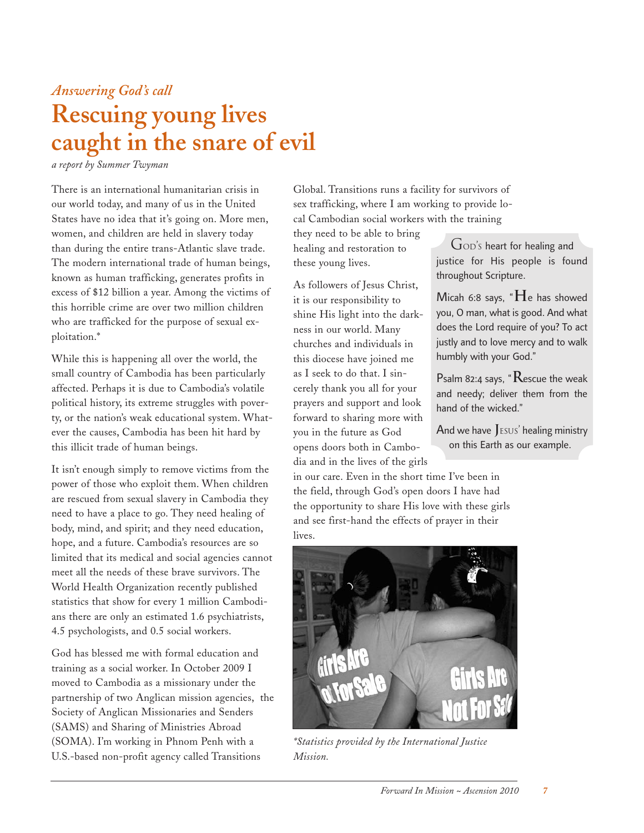### *Answering God's call*

# **Rescuing young lives caught in the snare of evil**

*a report by Summer Twyman*

There is an international humanitarian crisis in our world today, and many of us in the United States have no idea that it's going on. More men, women, and children are held in slavery today than during the entire trans-Atlantic slave trade. The modern international trade of human beings, known as human trafficking, generates profits in excess of \$12 billion a year. Among the victims of this horrible crime are over two million children who are trafficked for the purpose of sexual exploitation.\*

While this is happening all over the world, the small country of Cambodia has been particularly affected. Perhaps it is due to Cambodia's volatile political history, its extreme struggles with poverty, or the nation's weak educational system. Whatever the causes, Cambodia has been hit hard by this illicit trade of human beings.

It isn't enough simply to remove victims from the power of those who exploit them. When children are rescued from sexual slavery in Cambodia they need to have a place to go. They need healing of body, mind, and spirit; and they need education, hope, and a future. Cambodia's resources are so limited that its medical and social agencies cannot meet all the needs of these brave survivors. The World Health Organization recently published statistics that show for every 1 million Cambodians there are only an estimated 1.6 psychiatrists, 4.5 psychologists, and 0.5 social workers.

God has blessed me with formal education and training as a social worker. In October 2009 I moved to Cambodia as a missionary under the partnership of two Anglican mission agencies, the Society of Anglican Missionaries and Senders (SAMS) and Sharing of Ministries Abroad (SOMA). I'm working in Phnom Penh with a U.S.-based non-profit agency called Transitions

Global. Transitions runs a facility for survivors of sex trafficking, where I am working to provide local Cambodian social workers with the training

they need to be able to bring healing and restoration to these young lives.

As followers of Jesus Christ, it is our responsibility to shine His light into the darkness in our world. Many churches and individuals in this diocese have joined me as I seek to do that. I sincerely thank you all for your prayers and support and look forward to sharing more with you in the future as God opens doors both in Cambodia and in the lives of the girls

GOD'S heart for healing and justice for His people is found throughout Scripture.

Micah 6:8 says, "**H**<sup>e</sup> has showed you, O man, what is good. And what does the Lord require of you? To act justly and to love mercy and to walk humbly with your God."

Psalm 82:4 says, "**R**escue the weak and needy; deliver them from the hand of the wicked."

And we have **J**ESUS' healing ministry on this Earth as our example.

in our care. Even in the short time I've been in the field, through God's open doors I have had the opportunity to share His love with these girls and see first-hand the effects of prayer in their lives.



*\*Statistics provided by the International Justice Mission.*